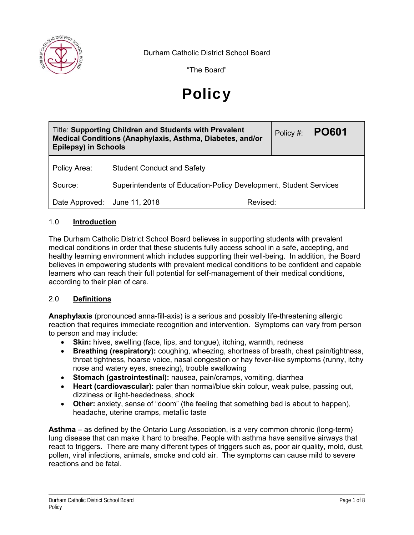

Durham Catholic District School Board

"The Board"

# **Policy**

| <b>Title: Supporting Children and Students with Prevalent</b><br>Medical Conditions (Anaphylaxis, Asthma, Diabetes, and/or<br><b>Epilepsy) in Schools</b> |                                                                   |          | Policy #: | <b>PO601</b> |
|-----------------------------------------------------------------------------------------------------------------------------------------------------------|-------------------------------------------------------------------|----------|-----------|--------------|
| Policy Area:                                                                                                                                              | <b>Student Conduct and Safety</b>                                 |          |           |              |
| Source:                                                                                                                                                   | Superintendents of Education-Policy Development, Student Services |          |           |              |
| Date Approved: June 11, 2018                                                                                                                              |                                                                   | Revised: |           |              |

### 1.0 **Introduction**

The Durham Catholic District School Board believes in supporting students with prevalent medical conditions in order that these students fully access school in a safe, accepting, and healthy learning environment which includes supporting their well-being. In addition, the Board believes in empowering students with prevalent medical conditions to be confident and capable learners who can reach their full potential for self-management of their medical conditions, according to their plan of care.

#### 2.0 **Definitions**

**Anaphylaxis** (pronounced anna-fill-axis) is a serious and possibly life-threatening allergic reaction that requires immediate recognition and intervention. Symptoms can vary from person to person and may include:

- **Skin:** hives, swelling (face, lips, and tongue), itching, warmth, redness
- **Breathing (respiratory):** coughing, wheezing, shortness of breath, chest pain/tightness, throat tightness, hoarse voice, nasal congestion or hay fever-like symptoms (runny, itchy nose and watery eyes, sneezing), trouble swallowing
- **Stomach (gastrointestinal):** nausea, pain/cramps, vomiting, diarrhea
- **Heart (cardiovascular):** paler than normal/blue skin colour, weak pulse, passing out, dizziness or light-headedness, shock
- **Other:** anxiety, sense of "doom" (the feeling that something bad is about to happen), headache, uterine cramps, metallic taste

**Asthma** – as defined by the Ontario Lung Association, is a very common chronic (long-term) lung disease that can make it hard to breathe. People with asthma have sensitive airways that react to triggers. There are many different types of triggers such as, poor air quality, mold, dust, pollen, viral infections, animals, smoke and cold air. The symptoms can cause mild to severe reactions and be fatal.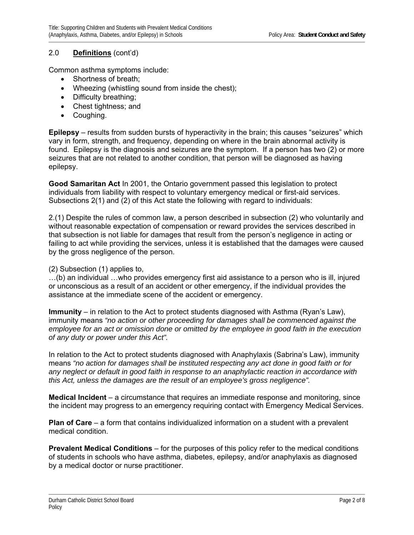### 2.0 **Definitions** (cont'd)

Common asthma symptoms include:

- Shortness of breath:
- Wheezing (whistling sound from inside the chest);
- Difficulty breathing;
- Chest tightness; and
- Coughing.

**Epilepsy** – results from sudden bursts of hyperactivity in the brain; this causes "seizures" which vary in form, strength, and frequency, depending on where in the brain abnormal activity is found. Epilepsy is the diagnosis and seizures are the symptom. If a person has two (2) or more seizures that are not related to another condition, that person will be diagnosed as having epilepsy.

**Good Samaritan Act** In 2001, the Ontario government passed this legislation to protect individuals from liability with respect to voluntary emergency medical or first-aid services. Subsections 2(1) and (2) of this Act state the following with regard to individuals:

2.(1) Despite the rules of common law, a person described in subsection (2) who voluntarily and without reasonable expectation of compensation or reward provides the services described in that subsection is not liable for damages that result from the person's negligence in acting or failing to act while providing the services, unless it is established that the damages were caused by the gross negligence of the person.

(2) Subsection (1) applies to,

…(b) an individual …who provides emergency first aid assistance to a person who is ill, injured or unconscious as a result of an accident or other emergency, if the individual provides the assistance at the immediate scene of the accident or emergency.

**Immunity** – in relation to the Act to protect students diagnosed with Asthma (Ryan's Law), immunity means *"no action or other proceeding for damages shall be commenced against the employee for an act or omission done or omitted by the employee in good faith in the execution of any duty or power under this Act".* 

In relation to the Act to protect students diagnosed with Anaphylaxis (Sabrina's Law), immunity means *"no action for damages shall be instituted respecting any act done in good faith or for any neglect or default in good faith in response to an anaphylactic reaction in accordance with this Act, unless the damages are the result of an employee's gross negligence".* 

**Medical Incident** – a circumstance that requires an immediate response and monitoring, since the incident may progress to an emergency requiring contact with Emergency Medical Services.

**Plan of Care** – a form that contains individualized information on a student with a prevalent medical condition.

**Prevalent Medical Conditions** – for the purposes of this policy refer to the medical conditions of students in schools who have asthma, diabetes, epilepsy, and/or anaphylaxis as diagnosed by a medical doctor or nurse practitioner.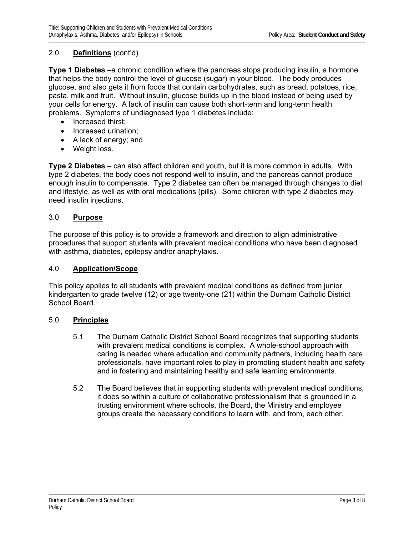### 2.0 **Definitions** (cont'd)

**Type 1 Diabetes** –a chronic condition where the pancreas stops producing insulin, a hormone that helps the body control the level of glucose (sugar) in your blood. The body produces glucose, and also gets it from foods that contain carbohydrates, such as bread, potatoes, rice, pasta, milk and fruit. Without insulin, glucose builds up in the blood instead of being used by your cells for energy. A lack of insulin can cause both short-term and long-term health problems. Symptoms of undiagnosed type 1 diabetes include:

- Increased thirst;
- Increased urination;
- A lack of energy; and
- Weight loss.

**Type 2 Diabetes** – can also affect children and youth, but it is more common in adults. With type 2 diabetes, the body does not respond well to insulin, and the pancreas cannot produce enough insulin to compensate. Type 2 diabetes can often be managed through changes to diet and lifestyle, as well as with oral medications (pills). Some children with type 2 diabetes may need insulin injections.

### 3.0 **Purpose**

The purpose of this policy is to provide a framework and direction to align administrative procedures that support students with prevalent medical conditions who have been diagnosed with asthma, diabetes, epilepsy and/or anaphylaxis.

#### 4.0 **Application/Scope**

This policy applies to all students with prevalent medical conditions as defined from junior kindergarten to grade twelve (12) or age twenty-one (21) within the Durham Catholic District School Board.

#### 5.0 **Principles**

- 5.1 The Durham Catholic District School Board recognizes that supporting students with prevalent medical conditions is complex. A whole-school approach with caring is needed where education and community partners, including health care professionals, have important roles to play in promoting student health and safety and in fostering and maintaining healthy and safe learning environments.
- 5.2 The Board believes that in supporting students with prevalent medical conditions, it does so within a culture of collaborative professionalism that is grounded in a trusting environment where schools, the Board, the Ministry and employee groups create the necessary conditions to learn with, and from, each other.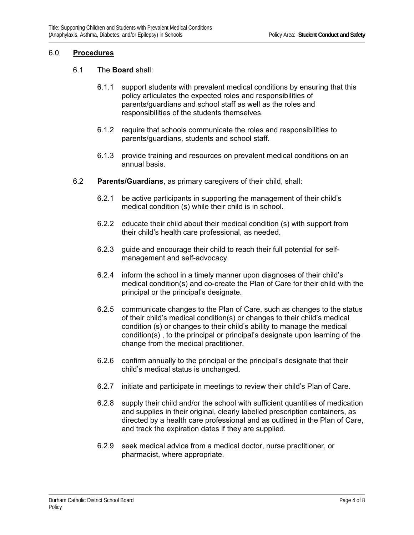#### 6.0 **Procedures**

#### 6.1 The **Board** shall:

- 6.1.1 support students with prevalent medical conditions by ensuring that this policy articulates the expected roles and responsibilities of parents/guardians and school staff as well as the roles and responsibilities of the students themselves.
- 6.1.2 require that schools communicate the roles and responsibilities to parents/guardians, students and school staff.
- 6.1.3 provide training and resources on prevalent medical conditions on an annual basis.
- 6.2 **Parents/Guardians**, as primary caregivers of their child, shall:
	- 6.2.1 be active participants in supporting the management of their child's medical condition (s) while their child is in school.
	- 6.2.2 educate their child about their medical condition (s) with support from their child's health care professional, as needed.
	- 6.2.3 guide and encourage their child to reach their full potential for selfmanagement and self-advocacy.
	- 6.2.4 inform the school in a timely manner upon diagnoses of their child's medical condition(s) and co-create the Plan of Care for their child with the principal or the principal's designate.
	- 6.2.5 communicate changes to the Plan of Care, such as changes to the status of their child's medical condition(s) or changes to their child's medical condition (s) or changes to their child's ability to manage the medical condition(s) , to the principal or principal's designate upon learning of the change from the medical practitioner.
	- 6.2.6 confirm annually to the principal or the principal's designate that their child's medical status is unchanged.
	- 6.2.7 initiate and participate in meetings to review their child's Plan of Care.
	- 6.2.8 supply their child and/or the school with sufficient quantities of medication and supplies in their original, clearly labelled prescription containers, as directed by a health care professional and as outlined in the Plan of Care, and track the expiration dates if they are supplied.
	- 6.2.9 seek medical advice from a medical doctor, nurse practitioner, or pharmacist, where appropriate.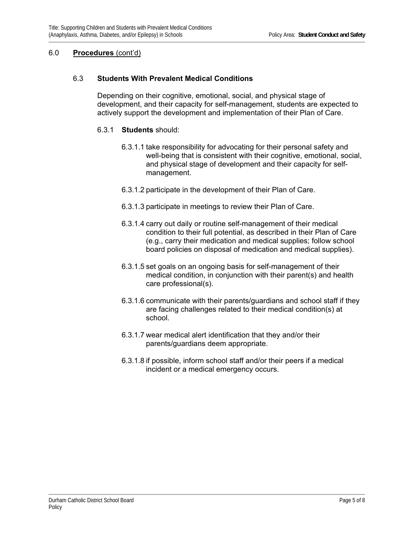### 6.0 **Procedures** (cont'd)

### 6.3 **Students With Prevalent Medical Conditions**

Depending on their cognitive, emotional, social, and physical stage of development, and their capacity for self-management, students are expected to actively support the development and implementation of their Plan of Care.

#### 6.3.1 **Students** should:

- 6.3.1.1 take responsibility for advocating for their personal safety and well-being that is consistent with their cognitive, emotional, social, and physical stage of development and their capacity for selfmanagement.
- 6.3.1.2 participate in the development of their Plan of Care.
- 6.3.1.3 participate in meetings to review their Plan of Care.
- 6.3.1.4 carry out daily or routine self-management of their medical condition to their full potential, as described in their Plan of Care (e.g., carry their medication and medical supplies; follow school board policies on disposal of medication and medical supplies).
- 6.3.1.5 set goals on an ongoing basis for self-management of their medical condition, in conjunction with their parent(s) and health care professional(s).
- 6.3.1.6 communicate with their parents/guardians and school staff if they are facing challenges related to their medical condition(s) at school.
- 6.3.1.7 wear medical alert identification that they and/or their parents/guardians deem appropriate.
- 6.3.1.8 if possible, inform school staff and/or their peers if a medical incident or a medical emergency occurs.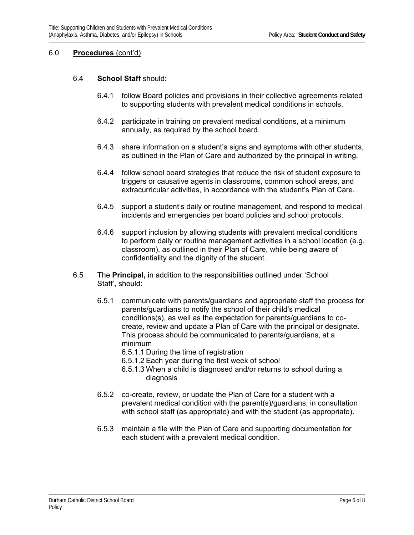#### 6.0 **Procedures** (cont'd)

#### 6.4 **School Staff** should:

- 6.4.1 follow Board policies and provisions in their collective agreements related to supporting students with prevalent medical conditions in schools.
- 6.4.2 participate in training on prevalent medical conditions, at a minimum annually, as required by the school board.
- 6.4.3 share information on a student's signs and symptoms with other students, as outlined in the Plan of Care and authorized by the principal in writing.
- 6.4.4 follow school board strategies that reduce the risk of student exposure to triggers or causative agents in classrooms, common school areas, and extracurricular activities, in accordance with the student's Plan of Care.
- 6.4.5 support a student's daily or routine management, and respond to medical incidents and emergencies per board policies and school protocols.
- 6.4.6 support inclusion by allowing students with prevalent medical conditions to perform daily or routine management activities in a school location (e.g. classroom), as outlined in their Plan of Care, while being aware of confidentiality and the dignity of the student.
- 6.5 The **Principal,** in addition to the responsibilities outlined under 'School Staff', should:
	- 6.5.1 communicate with parents/guardians and appropriate staff the process for parents/guardians to notify the school of their child's medical conditions(s), as well as the expectation for parents/guardians to cocreate, review and update a Plan of Care with the principal or designate. This process should be communicated to parents/guardians, at a minimum
		- 6.5.1.1 During the time of registration
		- 6.5.1.2 Each year during the first week of school
		- 6.5.1.3 When a child is diagnosed and/or returns to school during a diagnosis
	- 6.5.2 co-create, review, or update the Plan of Care for a student with a prevalent medical condition with the parent(s)/guardians, in consultation with school staff (as appropriate) and with the student (as appropriate).
	- 6.5.3 maintain a file with the Plan of Care and supporting documentation for each student with a prevalent medical condition.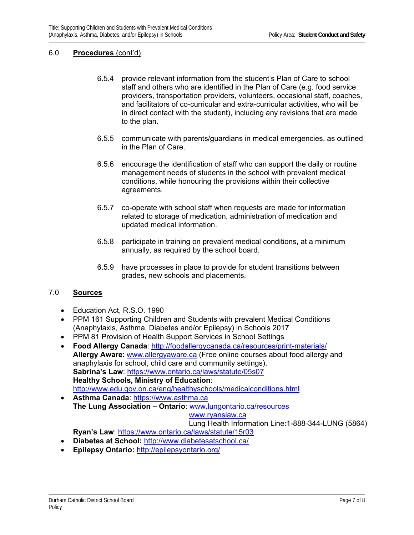### 6.0 **Procedures** (cont'd)

- 6.5.4 provide relevant information from the student's Plan of Care to school staff and others who are identified in the Plan of Care (e.g. food service providers, transportation providers, volunteers, occasional staff, coaches, and facilitators of co-curricular and extra-curricular activities, who will be in direct contact with the student), including any revisions that are made to the plan.
- 6.5.5 communicate with parents/guardians in medical emergencies, as outlined in the Plan of Care.
- 6.5.6 encourage the identification of staff who can support the daily or routine management needs of students in the school with prevalent medical conditions, while honouring the provisions within their collective agreements.
- 6.5.7 co-operate with school staff when requests are made for information related to storage of medication, administration of medication and updated medical information.
- 6.5.8 participate in training on prevalent medical conditions, at a minimum annually, as required by the school board.
- 6.5.9 have processes in place to provide for student transitions between grades, new schools and placements.

#### 7.0 **Sources**

- Education Act, R.S.O. 1990
- PPM 161 Supporting Children and Students with prevalent Medical Conditions (Anaphylaxis, Asthma, Diabetes and/or Epilepsy) in Schools 2017
- PPM 81 Provision of Health Support Services in School Settings
- **Food Allergy Canada**: http://foodallergycanada.ca/resources/print-materials/ **Allergy Aware**: www.allergyaware.ca (Free online courses about food allergy and anaphylaxis for school, child care and community settings). **Sabrina's Law**: https://www.ontario.ca/laws/statute/05s07 **Healthy Schools, Ministry of Education**: http://www.edu.gov.on.ca/eng/healthyschools/medicalconditions.html
- **Asthma Canada**: https://www.asthma.ca **The Lung Association – Ontario**: www.lungontario.ca/resources www.ryanslaw.ca

### Lung Health Information Line:1-888-344-LUNG (5864)

- **Ryan's Law**: https://www.ontario.ca/laws/statute/15r03
- **Diabetes at School:** http://www.diabetesatschool.ca/
- **Epilepsy Ontario:** http://epilepsyontario.org/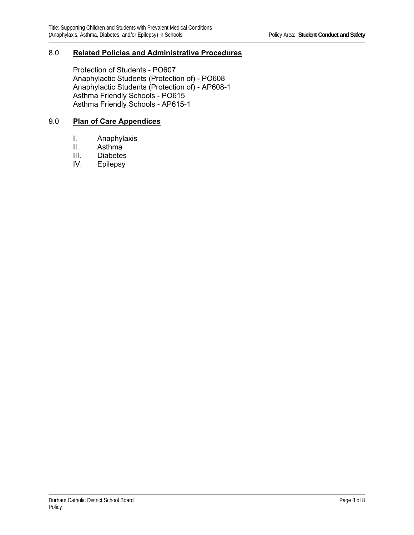### 8.0 **Related Policies and Administrative Procedures**

Protection of Students - PO607 Anaphylactic Students (Protection of) - PO608 Anaphylactic Students (Protection of) - AP608-1 Asthma Friendly Schools - PO615 Asthma Friendly Schools - AP615-1

### 9.0 **Plan of Care Appendices**

- I. Anaphylaxis<br>II. Asthma
- Asthma
- III. Diabetes<br>IV. Epilepsy
- Epilepsy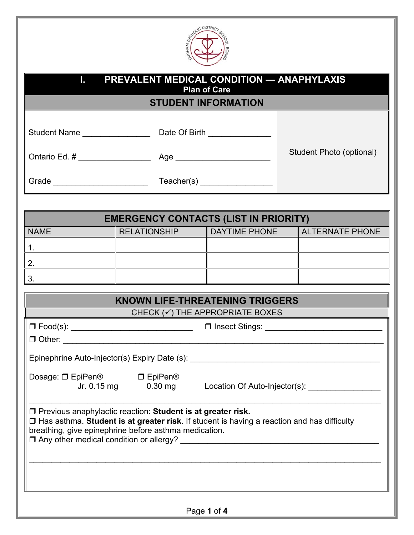

| PREVALENT MEDICAL CONDITION - ANAPHYLAXIS<br>Т.                                                                                                                                                                                                                                                                                    |                                                                                  |                                            |  |                          |
|------------------------------------------------------------------------------------------------------------------------------------------------------------------------------------------------------------------------------------------------------------------------------------------------------------------------------------|----------------------------------------------------------------------------------|--------------------------------------------|--|--------------------------|
|                                                                                                                                                                                                                                                                                                                                    |                                                                                  | <b>Plan of Care</b>                        |  |                          |
|                                                                                                                                                                                                                                                                                                                                    |                                                                                  | <b>STUDENT INFORMATION</b>                 |  |                          |
|                                                                                                                                                                                                                                                                                                                                    |                                                                                  |                                            |  |                          |
|                                                                                                                                                                                                                                                                                                                                    |                                                                                  |                                            |  | Student Photo (optional) |
|                                                                                                                                                                                                                                                                                                                                    |                                                                                  |                                            |  |                          |
|                                                                                                                                                                                                                                                                                                                                    |                                                                                  |                                            |  |                          |
| <b>NAME</b>                                                                                                                                                                                                                                                                                                                        | <b>EMERGENCY CONTACTS (LIST IN PRIORITY)</b><br><b>RELATIONSHIP</b>              | DAYTIME PHONE                              |  | ALTERNATE PHONE          |
|                                                                                                                                                                                                                                                                                                                                    |                                                                                  |                                            |  |                          |
| 1.                                                                                                                                                                                                                                                                                                                                 |                                                                                  |                                            |  |                          |
| 2.                                                                                                                                                                                                                                                                                                                                 |                                                                                  |                                            |  |                          |
| 3.                                                                                                                                                                                                                                                                                                                                 |                                                                                  |                                            |  |                          |
|                                                                                                                                                                                                                                                                                                                                    | <b>KNOWN LIFE-THREATENING TRIGGERS</b>                                           |                                            |  |                          |
|                                                                                                                                                                                                                                                                                                                                    |                                                                                  | CHECK $(\checkmark)$ THE APPROPRIATE BOXES |  |                          |
| □ Food(s): ___________________________  □ Insect Stings: _______________________                                                                                                                                                                                                                                                   |                                                                                  |                                            |  |                          |
|                                                                                                                                                                                                                                                                                                                                    |                                                                                  |                                            |  |                          |
|                                                                                                                                                                                                                                                                                                                                    | Epinephrine Auto-Injector(s) Expiry Date (s): __________________________________ |                                            |  |                          |
| Dosage: □ EpiPen <sup>®</sup><br>□ EpiPen <sup>®</sup><br>Jr. 0.15 mg<br>Location Of Auto-Injector(s): ____________<br>$0.30$ mg                                                                                                                                                                                                   |                                                                                  |                                            |  |                          |
| □ Previous anaphylactic reaction: Student is at greater risk.<br>□ Has asthma. Student is at greater risk. If student is having a reaction and has difficulty<br>breathing, give epinephrine before asthma medication.<br>$\Box$ Any other medical condition or allergy?<br><u> 1980 - Jan Barnett, fransk politiker (d. 1980)</u> |                                                                                  |                                            |  |                          |
|                                                                                                                                                                                                                                                                                                                                    |                                                                                  |                                            |  |                          |
|                                                                                                                                                                                                                                                                                                                                    |                                                                                  | Page 1 of 4                                |  |                          |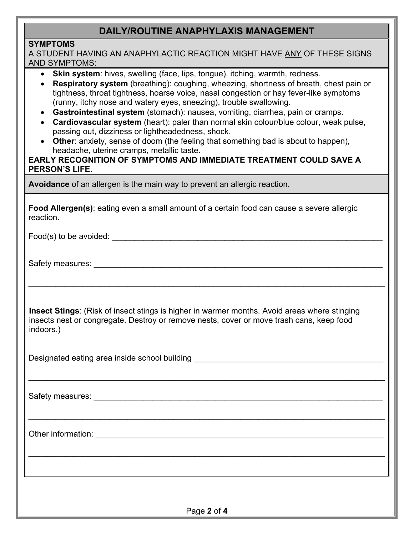### **DAILY/ROUTINE ANAPHYLAXIS MANAGEMENT**

### **SYMPTOMS**

| A STUDENT HAVING AN ANAPHYLACTIC REACTION MIGHT HAVE ANY OF THESE SIGNS<br><b>AND SYMPTOMS:</b>                                                                                                                                                                                                                                                                                                                                                                                                                                                                                                                                                                                                                                                                                                                                           |
|-------------------------------------------------------------------------------------------------------------------------------------------------------------------------------------------------------------------------------------------------------------------------------------------------------------------------------------------------------------------------------------------------------------------------------------------------------------------------------------------------------------------------------------------------------------------------------------------------------------------------------------------------------------------------------------------------------------------------------------------------------------------------------------------------------------------------------------------|
| Skin system: hives, swelling (face, lips, tongue), itching, warmth, redness.<br>$\bullet$<br>Respiratory system (breathing): coughing, wheezing, shortness of breath, chest pain or<br>tightness, throat tightness, hoarse voice, nasal congestion or hay fever-like symptoms<br>(runny, itchy nose and watery eyes, sneezing), trouble swallowing.<br>Gastrointestinal system (stomach): nausea, vomiting, diarrhea, pain or cramps.<br>$\bullet$<br>Cardiovascular system (heart): paler than normal skin colour/blue colour, weak pulse,<br>passing out, dizziness or lightheadedness, shock.<br><b>Other:</b> anxiety, sense of doom (the feeling that something bad is about to happen),<br>headache, uterine cramps, metallic taste.<br>EARLY RECOGNITION OF SYMPTOMS AND IMMEDIATE TREATMENT COULD SAVE A<br><b>PERSON'S LIFE.</b> |
| Avoidance of an allergen is the main way to prevent an allergic reaction.                                                                                                                                                                                                                                                                                                                                                                                                                                                                                                                                                                                                                                                                                                                                                                 |
| Food Allergen(s): eating even a small amount of a certain food can cause a severe allergic<br>reaction.                                                                                                                                                                                                                                                                                                                                                                                                                                                                                                                                                                                                                                                                                                                                   |
| Food(s) to be avoided:                                                                                                                                                                                                                                                                                                                                                                                                                                                                                                                                                                                                                                                                                                                                                                                                                    |
| Safety measures: Value of the Safety measures:                                                                                                                                                                                                                                                                                                                                                                                                                                                                                                                                                                                                                                                                                                                                                                                            |
| <b>Insect Stings:</b> (Risk of insect stings is higher in warmer months. Avoid areas where stinging<br>insects nest or congregate. Destroy or remove nests, cover or move trash cans, keep food<br>indoors.)                                                                                                                                                                                                                                                                                                                                                                                                                                                                                                                                                                                                                              |
| Designated eating area inside school building [19] [19] Designated eating area inside school building [19] Designated eating area inside school building [19] Designation and the set of the set of the set of the set of the                                                                                                                                                                                                                                                                                                                                                                                                                                                                                                                                                                                                             |
|                                                                                                                                                                                                                                                                                                                                                                                                                                                                                                                                                                                                                                                                                                                                                                                                                                           |
|                                                                                                                                                                                                                                                                                                                                                                                                                                                                                                                                                                                                                                                                                                                                                                                                                                           |
|                                                                                                                                                                                                                                                                                                                                                                                                                                                                                                                                                                                                                                                                                                                                                                                                                                           |
|                                                                                                                                                                                                                                                                                                                                                                                                                                                                                                                                                                                                                                                                                                                                                                                                                                           |
| Page 2 of 4                                                                                                                                                                                                                                                                                                                                                                                                                                                                                                                                                                                                                                                                                                                                                                                                                               |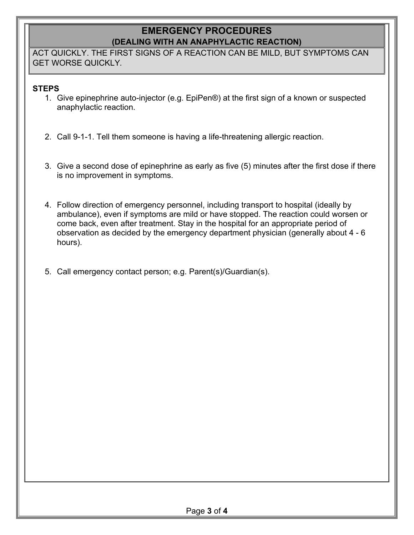### **EMERGENCY PROCEDURES (DEALING WITH AN ANAPHYLACTIC REACTION)**

ACT QUICKLY. THE FIRST SIGNS OF A REACTION CAN BE MILD, BUT SYMPTOMS CAN GET WORSE QUICKLY*.* 

### **STEPS**

- 1. Give epinephrine auto-injector (e.g. EpiPen®) at the first sign of a known or suspected anaphylactic reaction.
- 2. Call 9-1-1. Tell them someone is having a life-threatening allergic reaction.
- 3. Give a second dose of epinephrine as early as five (5) minutes after the first dose if there is no improvement in symptoms.
- 4. Follow direction of emergency personnel, including transport to hospital (ideally by ambulance), even if symptoms are mild or have stopped. The reaction could worsen or come back, even after treatment. Stay in the hospital for an appropriate period of observation as decided by the emergency department physician (generally about 4 - 6 hours).
- 5. Call emergency contact person; e.g. Parent(s)/Guardian(s).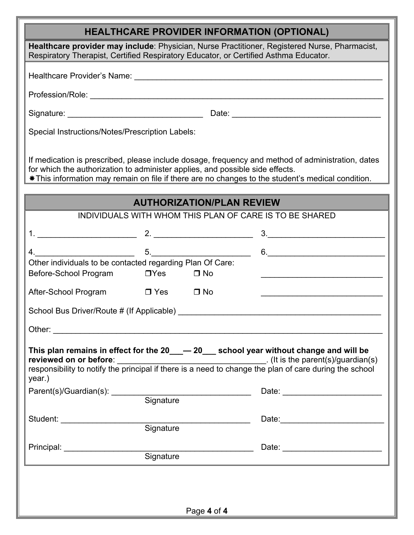# **HEALTHCARE PROVIDER INFORMATION (OPTIONAL)**

| HEALTHCARE PROVIDER INFORMATION (OPTIONAL)                                                                                                                                                                                                                                              |                                                                                                                                                                                                                                                                                                                                                                     |  |
|-----------------------------------------------------------------------------------------------------------------------------------------------------------------------------------------------------------------------------------------------------------------------------------------|---------------------------------------------------------------------------------------------------------------------------------------------------------------------------------------------------------------------------------------------------------------------------------------------------------------------------------------------------------------------|--|
| Healthcare provider may include: Physician, Nurse Practitioner, Registered Nurse, Pharmacist,<br>Respiratory Therapist, Certified Respiratory Educator, or Certified Asthma Educator.                                                                                                   |                                                                                                                                                                                                                                                                                                                                                                     |  |
|                                                                                                                                                                                                                                                                                         |                                                                                                                                                                                                                                                                                                                                                                     |  |
|                                                                                                                                                                                                                                                                                         |                                                                                                                                                                                                                                                                                                                                                                     |  |
|                                                                                                                                                                                                                                                                                         |                                                                                                                                                                                                                                                                                                                                                                     |  |
| Special Instructions/Notes/Prescription Labels:                                                                                                                                                                                                                                         |                                                                                                                                                                                                                                                                                                                                                                     |  |
| If medication is prescribed, please include dosage, frequency and method of administration, dates<br>for which the authorization to administer applies, and possible side effects.<br>* This information may remain on file if there are no changes to the student's medical condition. |                                                                                                                                                                                                                                                                                                                                                                     |  |
| <b>AUTHORIZATION/PLAN REVIEW</b>                                                                                                                                                                                                                                                        |                                                                                                                                                                                                                                                                                                                                                                     |  |
| INDIVIDUALS WITH WHOM THIS PLAN OF CARE IS TO BE SHARED                                                                                                                                                                                                                                 |                                                                                                                                                                                                                                                                                                                                                                     |  |
|                                                                                                                                                                                                                                                                                         | $\overline{\mathbf{3.}}$ $\overline{\mathbf{1.}}$                                                                                                                                                                                                                                                                                                                   |  |
| $4.$ $5.$                                                                                                                                                                                                                                                                               | $\begin{picture}(20,10) \put(0,0){\vector(1,0){100}} \put(15,0){\vector(1,0){100}} \put(15,0){\vector(1,0){100}} \put(15,0){\vector(1,0){100}} \put(15,0){\vector(1,0){100}} \put(15,0){\vector(1,0){100}} \put(15,0){\vector(1,0){100}} \put(15,0){\vector(1,0){100}} \put(15,0){\vector(1,0){100}} \put(15,0){\vector(1,0){100}} \put(15,0){\vector(1,0){100}} \$ |  |
| Other individuals to be contacted regarding Plan Of Care:<br>Before-School Program<br>$\square$ Yes<br>$\Box$ No                                                                                                                                                                        |                                                                                                                                                                                                                                                                                                                                                                     |  |
| After-School Program □ Yes □ No                                                                                                                                                                                                                                                         |                                                                                                                                                                                                                                                                                                                                                                     |  |
|                                                                                                                                                                                                                                                                                         |                                                                                                                                                                                                                                                                                                                                                                     |  |
| Other:                                                                                                                                                                                                                                                                                  |                                                                                                                                                                                                                                                                                                                                                                     |  |
| This plan remains in effect for the 20___ - 20___ school year without change and will be<br>year.)                                                                                                                                                                                      |                                                                                                                                                                                                                                                                                                                                                                     |  |
| Parent(s)/Guardian(s): Signature                                                                                                                                                                                                                                                        |                                                                                                                                                                                                                                                                                                                                                                     |  |
|                                                                                                                                                                                                                                                                                         |                                                                                                                                                                                                                                                                                                                                                                     |  |
|                                                                                                                                                                                                                                                                                         |                                                                                                                                                                                                                                                                                                                                                                     |  |
|                                                                                                                                                                                                                                                                                         |                                                                                                                                                                                                                                                                                                                                                                     |  |
|                                                                                                                                                                                                                                                                                         |                                                                                                                                                                                                                                                                                                                                                                     |  |
|                                                                                                                                                                                                                                                                                         |                                                                                                                                                                                                                                                                                                                                                                     |  |
| $\Box$                                                                                                                                                                                                                                                                                  |                                                                                                                                                                                                                                                                                                                                                                     |  |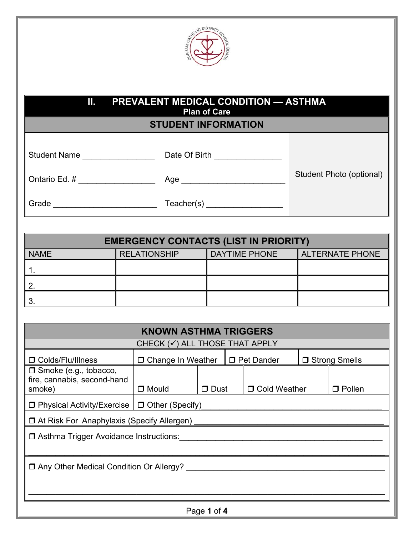

### **II. PREVALENT MEDICAL CONDITION — ASTHMA Plan of Care**

**STUDENT INFORMATION** 

| <b>Student Name</b> |  |
|---------------------|--|
|                     |  |

Student Name \_\_\_\_\_\_\_\_\_\_\_\_\_\_\_\_ Date Of Birth \_\_\_\_\_\_\_\_\_\_\_\_\_\_\_

Ontario Ed. # \_ \_ \_ \_ \_ \_ \_ \_ \_ \_ \_ \_ \_ \_ \_ Age \_ \_ \_ \_ \_ \_ \_ \_ \_ \_ \_ \_ \_ \_ \_ \_ \_

Student Photo (optional)

Grade \_\_\_\_\_\_\_\_\_\_\_\_\_\_\_\_\_\_\_\_\_\_\_ Teacher(s) \_\_\_\_\_\_\_\_\_\_\_\_\_\_\_\_\_

| <b>EMERGENCY CONTACTS (LIST IN PRIORITY)</b> |                     |                      |                        |  |
|----------------------------------------------|---------------------|----------------------|------------------------|--|
| <b>NAME</b>                                  | <b>RELATIONSHIP</b> | <b>DAYTIME PHONE</b> | <b>ALTERNATE PHONE</b> |  |
|                                              |                     |                      |                        |  |
|                                              |                     |                      |                        |  |
|                                              |                     |                      |                        |  |

| <b>KNOWN ASTHMA TRIGGERS</b><br>CHECK $(\checkmark)$ ALL THOSE THAT APPLY |                                              |                                                               |  |                |  |               |
|---------------------------------------------------------------------------|----------------------------------------------|---------------------------------------------------------------|--|----------------|--|---------------|
| □ Colds/Flu/Illness                                                       |                                              | □ Strong Smells<br>□ Change In Weather<br><b>D</b> Pet Dander |  |                |  |               |
| $\Box$ Smoke (e.g., tobacco,<br>fire, cannabis, second-hand<br>smoke)     | $\Box$ Mould                                 | □ Dust                                                        |  | □ Cold Weather |  | $\Box$ Pollen |
| $\Box$ Physical Activity/Exercise $\Box$ Other (Specify)                  |                                              |                                                               |  |                |  |               |
|                                                                           | □ At Risk For Anaphylaxis (Specify Allergen) |                                                               |  |                |  |               |
| □ Asthma Trigger Avoidance Instructions:                                  |                                              |                                                               |  |                |  |               |
| □ Any Other Medical Condition Or Allergy?                                 |                                              |                                                               |  |                |  |               |
|                                                                           |                                              |                                                               |  |                |  |               |
| Page 1 of 4                                                               |                                              |                                                               |  |                |  |               |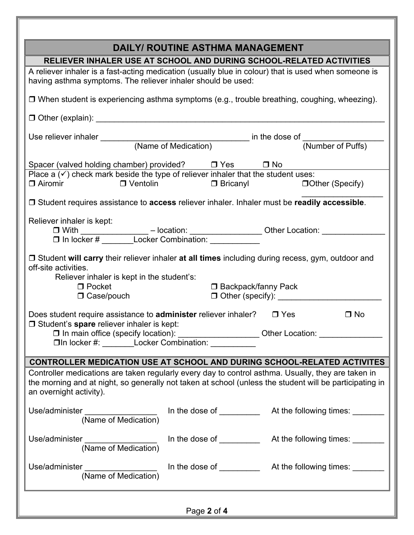| <b>DAILY/ ROUTINE ASTHMA MANAGEMENT</b>                                                                                                                                                                       |           |  |
|---------------------------------------------------------------------------------------------------------------------------------------------------------------------------------------------------------------|-----------|--|
| RELIEVER INHALER USE AT SCHOOL AND DURING SCHOOL-RELATED ACTIVITIES                                                                                                                                           |           |  |
| A reliever inhaler is a fast-acting medication (usually blue in colour) that is used when someone is<br>having asthma symptoms. The reliever inhaler should be used:                                          |           |  |
| □ When student is experiencing asthma symptoms (e.g., trouble breathing, coughing, wheezing).                                                                                                                 |           |  |
|                                                                                                                                                                                                               |           |  |
|                                                                                                                                                                                                               |           |  |
|                                                                                                                                                                                                               |           |  |
| Spacer (valved holding chamber) provided?<br><u>D</u> Yes D No                                                                                                                                                |           |  |
| Place $a(\checkmark)$ check mark beside the type of reliever inhaler that the student uses:<br>□ Airomir □ Ventolin                                                                                           |           |  |
| □ Student requires assistance to access reliever inhaler. Inhaler must be readily accessible.                                                                                                                 |           |  |
| Reliever inhaler is kept:                                                                                                                                                                                     |           |  |
| ег плыег is кер.<br>□ With _______________ – location: _________________ Other Location: __________                                                                                                           |           |  |
| $\Box$ In locker # Locker Combination:                                                                                                                                                                        |           |  |
| □ Student will carry their reliever inhaler at all times including during recess, gym, outdoor and<br>off-site activities.                                                                                    |           |  |
| Reliever inhaler is kept in the student's:<br>$\Box$ Pocket                                                                                                                                                   |           |  |
| □ Backpack/fanny Pack<br>$\Box$ Case/pouch                                                                                                                                                                    |           |  |
|                                                                                                                                                                                                               |           |  |
| Does student require assistance to <b>administer</b> reliever inhaler? $\Box$ Yes<br><b>J</b> Student's spare reliever inhaler is kept:                                                                       | $\Box$ No |  |
| □ In main office (specify location): _____________________Other Location: ___________<br>□In locker #: ________Locker Combination: ___________                                                                |           |  |
|                                                                                                                                                                                                               |           |  |
| <b>CONTROLLER MEDICATION USE AT SCHOOL AND DURING SCHOOL-RELATED ACTIVITES</b>                                                                                                                                |           |  |
| Controller medications are taken regularly every day to control asthma. Usually, they are taken in<br>the morning and at night, so generally not taken at school (unless the student will be participating in |           |  |
| an overnight activity).                                                                                                                                                                                       |           |  |
| Use/administer ___________________<br>(Name of Medication)                                                                                                                                                    |           |  |
| Use/administer<br>(Name of Medication)                                                                                                                                                                        |           |  |
| Use/administer __________________<br>(Name of Medication)                                                                                                                                                     |           |  |
| Page 2 of 4                                                                                                                                                                                                   |           |  |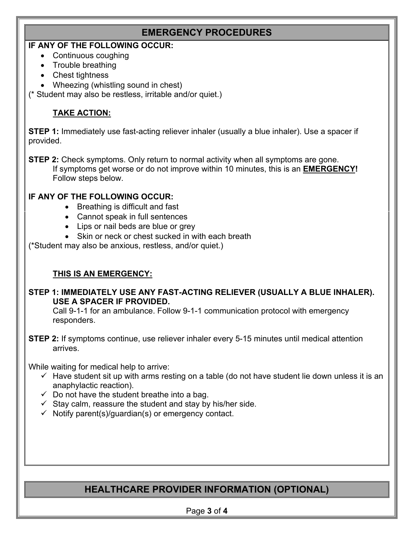### **EMERGENCY PROCEDURES**

### **IF ANY OF THE FOLLOWING OCCUR:**

- Continuous coughing
- Trouble breathing
- Chest tightness
- Wheezing (whistling sound in chest)
- (\* Student may also be restless, irritable and/or quiet.)

### **TAKE ACTION:**

**STEP 1:** Immediately use fast-acting reliever inhaler (usually a blue inhaler). Use a spacer if provided.

**STEP 2:** Check symptoms. Only return to normal activity when all symptoms are gone. If symptoms get worse or do not improve within 10 minutes, this is an **EMERGENCY!**  Follow steps below.

### **IF ANY OF THE FOLLOWING OCCUR:**

- Breathing is difficult and fast
- Cannot speak in full sentences
- Lips or nail beds are blue or grey
- Skin or neck or chest sucked in with each breath

(\*Student may also be anxious, restless, and/or quiet.)

### **THIS IS AN EMERGENCY:**

### **STEP 1: IMMEDIATELY USE ANY FAST-ACTING RELIEVER (USUALLY A BLUE INHALER). USE A SPACER IF PROVIDED.**

Call 9-1-1 for an ambulance. Follow 9-1-1 communication protocol with emergency responders.

**STEP 2:** If symptoms continue, use reliever inhaler every 5-15 minutes until medical attention arrives.

While waiting for medical help to arrive:

- $\checkmark$  Have student sit up with arms resting on a table (do not have student lie down unless it is an anaphylactic reaction).
- $\checkmark$  Do not have the student breathe into a bag.
- $\checkmark$  Stay calm, reassure the student and stay by his/her side.
- $\checkmark$  Notify parent(s)/guardian(s) or emergency contact.

# **HEALTHCARE PROVIDER INFORMATION (OPTIONAL)**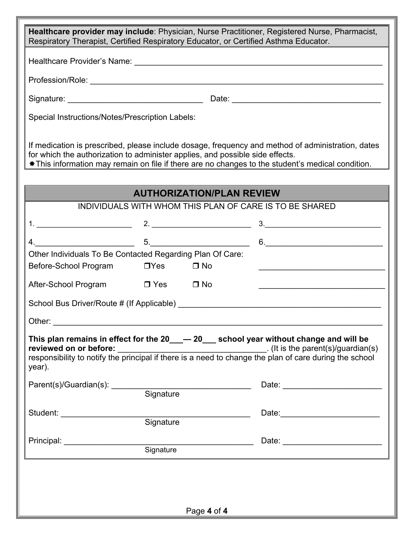| Respiratory Therapist, Certified Respiratory Educator, or Certified Asthma Educator. |            |                                  | Healthcare provider may include: Physician, Nurse Practitioner, Registered Nurse, Pharmacist,                                                                                                          |
|--------------------------------------------------------------------------------------|------------|----------------------------------|--------------------------------------------------------------------------------------------------------------------------------------------------------------------------------------------------------|
|                                                                                      |            |                                  |                                                                                                                                                                                                        |
|                                                                                      |            |                                  |                                                                                                                                                                                                        |
|                                                                                      |            |                                  |                                                                                                                                                                                                        |
|                                                                                      |            |                                  |                                                                                                                                                                                                        |
| Special Instructions/Notes/Prescription Labels:                                      |            |                                  |                                                                                                                                                                                                        |
| for which the authorization to administer applies, and possible side effects.        |            |                                  | If medication is prescribed, please include dosage, frequency and method of administration, dates<br>* This information may remain on file if there are no changes to the student's medical condition. |
|                                                                                      |            | <b>AUTHORIZATION/PLAN REVIEW</b> |                                                                                                                                                                                                        |
|                                                                                      |            |                                  | INDIVIDUALS WITH WHOM THIS PLAN OF CARE IS TO BE SHARED                                                                                                                                                |
|                                                                                      |            |                                  |                                                                                                                                                                                                        |
|                                                                                      |            |                                  |                                                                                                                                                                                                        |
|                                                                                      |            |                                  | $5.$ 6. $6.$                                                                                                                                                                                           |
| Other Individuals To Be Contacted Regarding Plan Of Care:                            |            |                                  |                                                                                                                                                                                                        |
| Before-School Program                                                                | $\Box$ Yes | $\Box$ No                        | <u> 1989 - Johann John Stone, mars et al. (</u>                                                                                                                                                        |
| After-School Program □ Yes □ No                                                      |            |                                  |                                                                                                                                                                                                        |
|                                                                                      |            |                                  | School Bus Driver/Route # (If Applicable) School Bus Driver/Route # (If Applicable)                                                                                                                    |
| Other:                                                                               |            |                                  |                                                                                                                                                                                                        |
| year).                                                                               |            |                                  | This plan remains in effect for the 20___ - 20___ school year without change and will be                                                                                                               |
|                                                                                      |            |                                  |                                                                                                                                                                                                        |
| Parent(s)/Guardian(s): Signature                                                     |            |                                  |                                                                                                                                                                                                        |
|                                                                                      |            |                                  | Date: 2008                                                                                                                                                                                             |
|                                                                                      |            |                                  |                                                                                                                                                                                                        |
| Principal: <b>Example 2014</b>                                                       |            |                                  | Date: <u>_________________________</u>                                                                                                                                                                 |
|                                                                                      | Signature  |                                  |                                                                                                                                                                                                        |
|                                                                                      |            |                                  |                                                                                                                                                                                                        |
|                                                                                      |            |                                  |                                                                                                                                                                                                        |
|                                                                                      |            |                                  |                                                                                                                                                                                                        |
|                                                                                      |            | Page 4 of 4                      |                                                                                                                                                                                                        |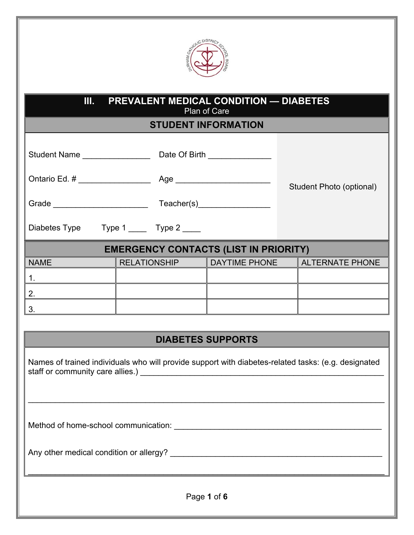

### **III. PREVALENT MEDICAL CONDITION — DIABETES** Plan of Care

**STUDENT INFORMATION** 

| Student Name |  | Date Of Birth |  |
|--------------|--|---------------|--|
|--------------|--|---------------|--|

Ontario Ed. # \_\_\_\_\_\_\_\_\_\_\_\_\_\_\_\_ Age \_\_\_\_\_\_\_\_\_\_\_\_\_\_\_\_\_\_\_\_\_

Grade \_\_\_\_\_\_\_\_\_\_\_\_\_\_\_\_\_\_\_\_\_ Teacher(s)\_\_\_\_\_\_\_\_\_\_\_\_\_\_\_\_

Diabetes Type Type 1 \_\_\_\_ Type 2 \_\_\_\_

## **EMERGENCY CONTACTS (LIST IN PRIORITY)**

Student Photo (optional)

| <b>NAME</b> | <b>RELATIONSHIP</b> | <b>DAYTIME PHONE</b> | <b>ALTERNATE PHONE</b> |
|-------------|---------------------|----------------------|------------------------|
|             |                     |                      |                        |
|             |                     |                      |                        |
|             |                     |                      |                        |

### **DIABETES SUPPORTS**

Names of trained individuals who will provide support with diabetes-related tasks: (e.g. designated staff or community care allies.) \_\_\_\_\_\_\_\_\_\_\_\_\_\_\_\_\_\_\_\_\_\_\_\_\_\_\_\_\_\_\_\_\_\_\_\_\_\_\_\_\_\_\_\_\_\_\_\_\_\_\_\_\_\_

 $\mathcal{L}_\mathcal{L} = \{ \mathcal{L}_\mathcal{L} = \{ \mathcal{L}_\mathcal{L} = \{ \mathcal{L}_\mathcal{L} = \{ \mathcal{L}_\mathcal{L} = \{ \mathcal{L}_\mathcal{L} = \{ \mathcal{L}_\mathcal{L} = \{ \mathcal{L}_\mathcal{L} = \{ \mathcal{L}_\mathcal{L} = \{ \mathcal{L}_\mathcal{L} = \{ \mathcal{L}_\mathcal{L} = \{ \mathcal{L}_\mathcal{L} = \{ \mathcal{L}_\mathcal{L} = \{ \mathcal{L}_\mathcal{L} = \{ \mathcal{L}_\mathcal{$ 

Method of home-school communication: \_\_\_\_\_\_\_\_\_\_\_\_\_\_\_\_\_\_\_\_\_\_\_\_\_\_\_\_\_\_\_\_\_\_\_\_\_\_\_\_\_\_\_\_\_\_

Any other medical condition or allergy? \_\_\_\_\_\_\_\_\_\_\_\_\_\_\_\_\_\_\_\_\_\_\_\_\_\_\_\_\_\_\_\_\_\_\_\_\_\_\_\_\_\_\_\_\_\_\_

Page **1** of **6**

 $\mathcal{L}_\mathcal{L} = \{ \mathcal{L}_\mathcal{L} = \{ \mathcal{L}_\mathcal{L} = \{ \mathcal{L}_\mathcal{L} = \{ \mathcal{L}_\mathcal{L} = \{ \mathcal{L}_\mathcal{L} = \{ \mathcal{L}_\mathcal{L} = \{ \mathcal{L}_\mathcal{L} = \{ \mathcal{L}_\mathcal{L} = \{ \mathcal{L}_\mathcal{L} = \{ \mathcal{L}_\mathcal{L} = \{ \mathcal{L}_\mathcal{L} = \{ \mathcal{L}_\mathcal{L} = \{ \mathcal{L}_\mathcal{L} = \{ \mathcal{L}_\mathcal{$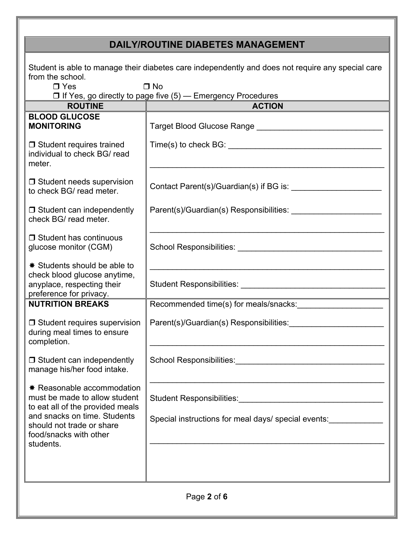# **DAILY/ROUTINE DIABETES MANAGEMENT**

| Student is able to manage their diabetes care independently and does not require any special care<br>from the school.<br>$\Box$ Yes<br>$\Box$ No<br>□ If Yes, go directly to page five (5) — Emergency Procedures |                                                                                                          |  |  |
|-------------------------------------------------------------------------------------------------------------------------------------------------------------------------------------------------------------------|----------------------------------------------------------------------------------------------------------|--|--|
| <b>ROUTINE</b>                                                                                                                                                                                                    | <b>ACTION</b>                                                                                            |  |  |
| <b>BLOOD GLUCOSE</b><br><b>MONITORING</b>                                                                                                                                                                         | Target Blood Glucose Range Manual Allen Manual Allen Manual Allen Manual Allen Manual Allen Manual Allen |  |  |
| $\Box$ Student requires trained<br>individual to check BG/ read<br>meter.                                                                                                                                         |                                                                                                          |  |  |
| $\Box$ Student needs supervision<br>to check BG/ read meter.                                                                                                                                                      | Contact Parent(s)/Guardian(s) if BG is:                                                                  |  |  |
| $\Box$ Student can independently<br>check BG/ read meter.                                                                                                                                                         | Parent(s)/Guardian(s) Responsibilities:                                                                  |  |  |
| $\Box$ Student has continuous<br>glucose monitor (CGM)                                                                                                                                                            |                                                                                                          |  |  |
| <b><math>*</math> Students should be able to</b><br>check blood glucose anytime,<br>anyplace, respecting their<br>preference for privacy.                                                                         |                                                                                                          |  |  |
| <b>NUTRITION BREAKS</b>                                                                                                                                                                                           | Recommended time(s) for meals/snacks:                                                                    |  |  |
| $\Box$ Student requires supervision<br>during meal times to ensure<br>completion.                                                                                                                                 | Parent(s)/Guardian(s) Responsibilities:                                                                  |  |  |
| $\Box$ Student can independently<br>manage his/her food intake.                                                                                                                                                   | School Responsibilities: School Responsibilities:                                                        |  |  |
| <b>★ Reasonable accommodation</b><br>must be made to allow student<br>to eat all of the provided meals<br>and snacks on time. Students<br>should not trade or share<br>food/snacks with other<br>students.        | Special instructions for meal days/ special events:                                                      |  |  |
|                                                                                                                                                                                                                   |                                                                                                          |  |  |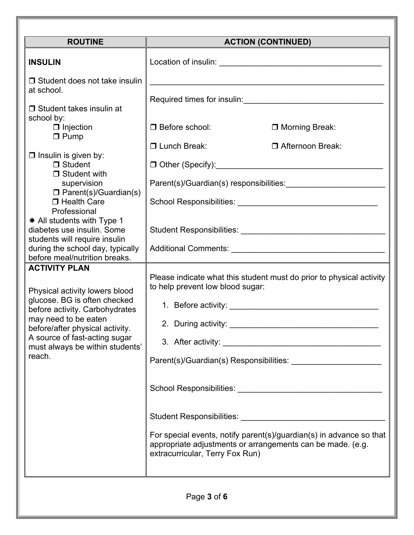| <b>ROUTINE</b>                                                                                                                                                                                                                                                                                                                                                                                                                                                                                                                                                                                                                                                                                                                           |                                                                                                           | <b>ACTION (CONTINUED)</b>                                                                                                                                                                                                                                                                      |
|------------------------------------------------------------------------------------------------------------------------------------------------------------------------------------------------------------------------------------------------------------------------------------------------------------------------------------------------------------------------------------------------------------------------------------------------------------------------------------------------------------------------------------------------------------------------------------------------------------------------------------------------------------------------------------------------------------------------------------------|-----------------------------------------------------------------------------------------------------------|------------------------------------------------------------------------------------------------------------------------------------------------------------------------------------------------------------------------------------------------------------------------------------------------|
| <b>INSULIN</b>                                                                                                                                                                                                                                                                                                                                                                                                                                                                                                                                                                                                                                                                                                                           |                                                                                                           |                                                                                                                                                                                                                                                                                                |
| $\Box$ Student does not take insulin<br>at school.<br>$\Box$ Student takes insulin at<br>school by:<br>$\Box$ Injection<br>$\Box$ Pump<br>$\Box$ Insulin is given by:<br>$\Box$ Student<br>$\Box$ Student with<br>supervision<br>$\square$ Parent(s)/Guardian(s)<br>□ Health Care<br>Professional<br>* All students with Type 1<br>diabetes use insulin. Some<br>students will require insulin<br>during the school day, typically<br>before meal/nutrition breaks.<br><b>ACTIVITY PLAN</b><br>Physical activity lowers blood<br>glucose. BG is often checked<br>before activity. Carbohydrates<br>may need to be eaten<br>before/after physical activity.<br>A source of fast-acting sugar<br>must always be within students'<br>reach. | □ Before school:<br>□ Lunch Break:<br>to help prevent low blood sugar:<br>extracurricular, Terry Fox Run) | □ Morning Break:<br>□ Afternoon Break:<br>Parent(s)/Guardian(s) responsibilities:<br>Please indicate what this student must do prior to physical activity<br>For special events, notify parent(s)/guardian(s) in advance so that<br>appropriate adjustments or arrangements can be made. (e.g. |
|                                                                                                                                                                                                                                                                                                                                                                                                                                                                                                                                                                                                                                                                                                                                          | Page 3 of 6                                                                                               |                                                                                                                                                                                                                                                                                                |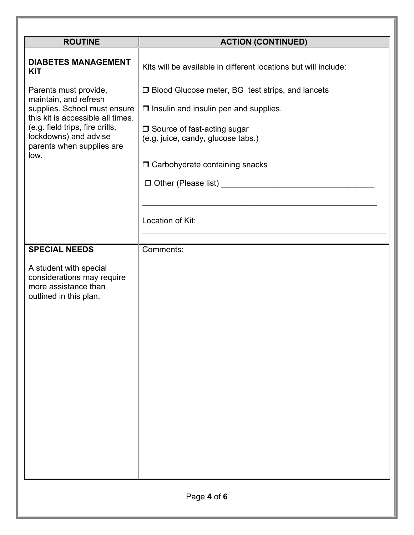| <b>ROUTINE</b>                                                                                                                                                                                                                                                   | <b>ACTION (CONTINUED)</b>                                                                                                                                                                                                                                                        |  |  |
|------------------------------------------------------------------------------------------------------------------------------------------------------------------------------------------------------------------------------------------------------------------|----------------------------------------------------------------------------------------------------------------------------------------------------------------------------------------------------------------------------------------------------------------------------------|--|--|
| <b>DIABETES MANAGEMENT</b><br><b>KIT</b><br>Parents must provide,<br>maintain, and refresh<br>supplies. School must ensure<br>this kit is accessible all times.<br>(e.g. field trips, fire drills,<br>lockdowns) and advise<br>parents when supplies are<br>low. | Kits will be available in different locations but will include:<br>□ Blood Glucose meter, BG test strips, and lancets<br>$\Box$ Insulin and insulin pen and supplies.<br>□ Source of fast-acting sugar<br>(e.g. juice, candy, glucose tabs.)<br>□ Carbohydrate containing snacks |  |  |
|                                                                                                                                                                                                                                                                  | Location of Kit:                                                                                                                                                                                                                                                                 |  |  |
| <b>SPECIAL NEEDS</b><br>A student with special<br>considerations may require<br>more assistance than<br>outlined in this plan.                                                                                                                                   | Comments:                                                                                                                                                                                                                                                                        |  |  |
| Page 4 of 6                                                                                                                                                                                                                                                      |                                                                                                                                                                                                                                                                                  |  |  |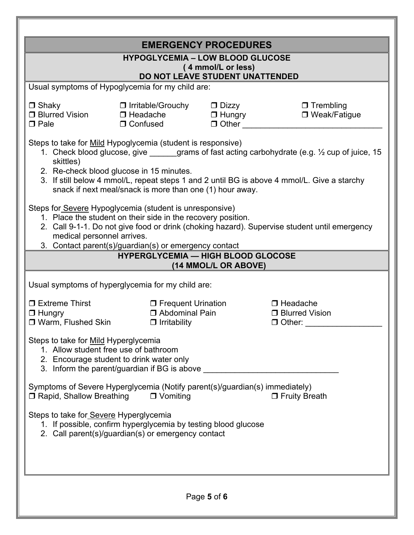| <b>EMERGENCY PROCEDURES</b><br><b>HYPOGLYCEMIA - LOW BLOOD GLUCOSE</b><br>(4 mmol/L or less)<br>DO NOT LEAVE STUDENT UNATTENDED                                                                                                                                                                                                                                                                                                                                                                                                                                                                                                                                                                                                                  |                                                                                                                                             |                      |  |  |  |  |
|--------------------------------------------------------------------------------------------------------------------------------------------------------------------------------------------------------------------------------------------------------------------------------------------------------------------------------------------------------------------------------------------------------------------------------------------------------------------------------------------------------------------------------------------------------------------------------------------------------------------------------------------------------------------------------------------------------------------------------------------------|---------------------------------------------------------------------------------------------------------------------------------------------|----------------------|--|--|--|--|
| Usual symptoms of Hypoglycemia for my child are:                                                                                                                                                                                                                                                                                                                                                                                                                                                                                                                                                                                                                                                                                                 |                                                                                                                                             |                      |  |  |  |  |
| $\Box$ Shaky<br>□ Blurred Vision<br>$\Box$ Pale                                                                                                                                                                                                                                                                                                                                                                                                                                                                                                                                                                                                                                                                                                  | $\Box$ Trembling<br>□ Irritable/Grouchy<br>$\Box$ Dizzy<br>□ Hungry<br>$\Box$ Headache<br>□ Weak/Fatigue<br>$\Box$ Confused<br>$\Box$ Other |                      |  |  |  |  |
| Steps to take for Mild Hypoglycemia (student is responsive)<br>1. Check blood glucose, give _____grams of fast acting carbohydrate (e.g. 1/2 cup of juice, 15<br>skittles)<br>2. Re-check blood glucose in 15 minutes.<br>3. If still below 4 mmol/L, repeat steps 1 and 2 until BG is above 4 mmol/L. Give a starchy<br>snack if next meal/snack is more than one (1) hour away.<br>Steps for Severe Hypoglycemia (student is unresponsive)<br>1. Place the student on their side in the recovery position.<br>2. Call 9-1-1. Do not give food or drink (choking hazard). Supervise student until emergency<br>medical personnel arrives.<br>3. Contact parent(s)/guardian(s) or emergency contact<br><b>HYPERGLYCEMIA - HIGH BLOOD GLOCOSE</b> |                                                                                                                                             |                      |  |  |  |  |
|                                                                                                                                                                                                                                                                                                                                                                                                                                                                                                                                                                                                                                                                                                                                                  |                                                                                                                                             | (14 MMOL/L OR ABOVE) |  |  |  |  |
| Usual symptoms of hyperglycemia for my child are:                                                                                                                                                                                                                                                                                                                                                                                                                                                                                                                                                                                                                                                                                                |                                                                                                                                             |                      |  |  |  |  |
| □ Extreme Thirst<br>$\Box$ Hungry<br>□ Warm, Flushed Skin                                                                                                                                                                                                                                                                                                                                                                                                                                                                                                                                                                                                                                                                                        | □ Frequent Urination<br>$\Box$ Headache<br>□ Abdominal Pain<br><b>D</b> Blurred Vision<br>$\Box$ Irritability<br>$\Box$ Other:              |                      |  |  |  |  |
| Steps to take for Mild Hyperglycemia<br>1. Allow student free use of bathroom<br>2. Encourage student to drink water only<br>3. Inform the parent/guardian if BG is above                                                                                                                                                                                                                                                                                                                                                                                                                                                                                                                                                                        |                                                                                                                                             |                      |  |  |  |  |
| Symptoms of Severe Hyperglycemia (Notify parent(s)/guardian(s) immediately)<br>□ Rapid, Shallow Breathing<br>$\Box$ Vomiting<br><b>D</b> Fruity Breath                                                                                                                                                                                                                                                                                                                                                                                                                                                                                                                                                                                           |                                                                                                                                             |                      |  |  |  |  |
| Steps to take for Severe Hyperglycemia<br>1. If possible, confirm hyperglycemia by testing blood glucose<br>2. Call parent(s)/guardian(s) or emergency contact                                                                                                                                                                                                                                                                                                                                                                                                                                                                                                                                                                                   |                                                                                                                                             |                      |  |  |  |  |
|                                                                                                                                                                                                                                                                                                                                                                                                                                                                                                                                                                                                                                                                                                                                                  |                                                                                                                                             | Page 5 of 6          |  |  |  |  |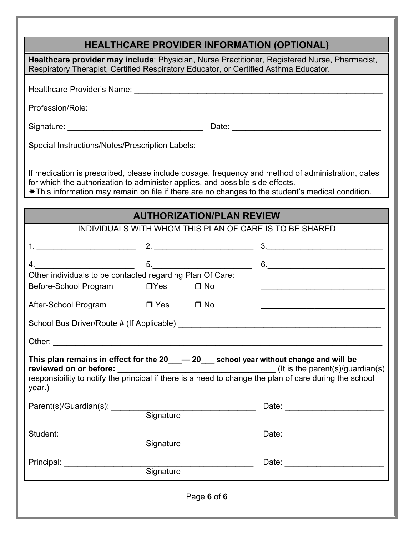|                                                                                                                                                                                                                                |                                           |                                  | <b>HEALTHCARE PROVIDER INFORMATION (OPTIONAL)</b>                                                                                                                                                      |
|--------------------------------------------------------------------------------------------------------------------------------------------------------------------------------------------------------------------------------|-------------------------------------------|----------------------------------|--------------------------------------------------------------------------------------------------------------------------------------------------------------------------------------------------------|
| Respiratory Therapist, Certified Respiratory Educator, or Certified Asthma Educator.                                                                                                                                           |                                           |                                  | Healthcare provider may include: Physician, Nurse Practitioner, Registered Nurse, Pharmacist,                                                                                                          |
|                                                                                                                                                                                                                                |                                           |                                  |                                                                                                                                                                                                        |
|                                                                                                                                                                                                                                |                                           |                                  |                                                                                                                                                                                                        |
|                                                                                                                                                                                                                                |                                           |                                  |                                                                                                                                                                                                        |
|                                                                                                                                                                                                                                |                                           |                                  |                                                                                                                                                                                                        |
| Special Instructions/Notes/Prescription Labels:                                                                                                                                                                                |                                           |                                  |                                                                                                                                                                                                        |
| for which the authorization to administer applies, and possible side effects.                                                                                                                                                  |                                           |                                  | If medication is prescribed, please include dosage, frequency and method of administration, dates<br>* This information may remain on file if there are no changes to the student's medical condition. |
|                                                                                                                                                                                                                                |                                           | <b>AUTHORIZATION/PLAN REVIEW</b> |                                                                                                                                                                                                        |
|                                                                                                                                                                                                                                |                                           |                                  | INDIVIDUALS WITH WHOM THIS PLAN OF CARE IS TO BE SHARED                                                                                                                                                |
|                                                                                                                                                                                                                                |                                           |                                  | $\begin{array}{c} 3. \begin{array}{c} \begin{array}{c} \end{array} \end{array}$                                                                                                                        |
| 4.                                                                                                                                                                                                                             | $\frac{1}{\sqrt{1-\frac{1}{2}}}\qquad 5.$ |                                  | 6.                                                                                                                                                                                                     |
| Other individuals to be contacted regarding Plan Of Care:<br>Before-School Program                                                                                                                                             | $\Box$ Yes                                | $\Box$ No                        |                                                                                                                                                                                                        |
| After-School Program                                                                                                                                                                                                           | $\Box$ Yes                                | $\Box$ No                        |                                                                                                                                                                                                        |
| School Bus Driver/Route # (If Applicable) _______                                                                                                                                                                              |                                           |                                  |                                                                                                                                                                                                        |
| Other: when the contract of the contract of the contract of the contract of the contract of the contract of the contract of the contract of the contract of the contract of the contract of the contract of the contract of th |                                           |                                  |                                                                                                                                                                                                        |
| year.)                                                                                                                                                                                                                         |                                           |                                  | This plan remains in effect for the $20 \_\_\_ \leftarrow 20 \_\_\_$ school year without change and will be                                                                                            |
| Parent(s)/Guardian(s): Signature                                                                                                                                                                                               |                                           |                                  |                                                                                                                                                                                                        |
|                                                                                                                                                                                                                                |                                           |                                  |                                                                                                                                                                                                        |
| Student: ______________________                                                                                                                                                                                                |                                           | Signature                        |                                                                                                                                                                                                        |
| Principal: _______________________                                                                                                                                                                                             |                                           |                                  |                                                                                                                                                                                                        |
|                                                                                                                                                                                                                                | Signature                                 |                                  |                                                                                                                                                                                                        |
|                                                                                                                                                                                                                                |                                           | Page 6 of 6                      |                                                                                                                                                                                                        |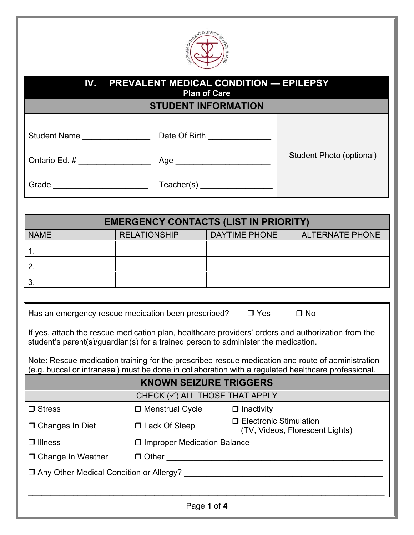

| IV.<br><b>PREVALENT MEDICAL CONDITION — EPILEPSY</b><br><b>Plan of Care</b><br><u> Tanzania de la provincia de la provincia de la provincia de la provincia de la provincia de la provincia de l</u><br><b>STUDENT INFORMATION</b> |                                                                                                                                                                                          |                               |                                 |  |
|------------------------------------------------------------------------------------------------------------------------------------------------------------------------------------------------------------------------------------|------------------------------------------------------------------------------------------------------------------------------------------------------------------------------------------|-------------------------------|---------------------------------|--|
|                                                                                                                                                                                                                                    | Student Name ___________________________________Date Of Birth __________________                                                                                                         |                               |                                 |  |
|                                                                                                                                                                                                                                    |                                                                                                                                                                                          |                               | Student Photo (optional)        |  |
|                                                                                                                                                                                                                                    |                                                                                                                                                                                          |                               |                                 |  |
|                                                                                                                                                                                                                                    | <b>EMERGENCY CONTACTS (LIST IN PRIORITY)</b>                                                                                                                                             |                               |                                 |  |
| <b>NAME</b>                                                                                                                                                                                                                        | <b>RELATIONSHIP</b>                                                                                                                                                                      |                               | DAYTIME PHONE   ALTERNATE PHONE |  |
|                                                                                                                                                                                                                                    |                                                                                                                                                                                          |                               |                                 |  |
| 1.                                                                                                                                                                                                                                 |                                                                                                                                                                                          |                               |                                 |  |
| 2.                                                                                                                                                                                                                                 |                                                                                                                                                                                          |                               |                                 |  |
| 3.                                                                                                                                                                                                                                 |                                                                                                                                                                                          |                               |                                 |  |
|                                                                                                                                                                                                                                    | Has an emergency rescue medication been prescribed? $\Box$ Yes                                                                                                                           |                               | $\Box$ No                       |  |
|                                                                                                                                                                                                                                    | If yes, attach the rescue medication plan, healthcare providers' orders and authorization from the<br>student's parent(s)/guardian(s) for a trained person to administer the medication. |                               |                                 |  |
| Note: Rescue medication training for the prescribed rescue medication and route of administration<br>(e.g. buccal or intranasal) must be done in collaboration with a regulated healthcare professional.                           |                                                                                                                                                                                          |                               |                                 |  |
|                                                                                                                                                                                                                                    |                                                                                                                                                                                          | <b>KNOWN SEIZURE TRIGGERS</b> |                                 |  |
| CHECK $(\checkmark)$ ALL THOSE THAT APPLY                                                                                                                                                                                          |                                                                                                                                                                                          |                               |                                 |  |
| $\Box$ Stress                                                                                                                                                                                                                      | $\Box$ Menstrual Cycle                                                                                                                                                                   | $\Box$ Inactivity             |                                 |  |
| <b>D</b> Changes In Diet                                                                                                                                                                                                           | □ Lack Of Sleep                                                                                                                                                                          | □ Electronic Stimulation      | (TV, Videos, Florescent Lights) |  |
| $\Box$ Illness                                                                                                                                                                                                                     | □ Improper Medication Balance                                                                                                                                                            |                               |                                 |  |
| □ Change In Weather                                                                                                                                                                                                                |                                                                                                                                                                                          |                               |                                 |  |
|                                                                                                                                                                                                                                    |                                                                                                                                                                                          |                               |                                 |  |
|                                                                                                                                                                                                                                    |                                                                                                                                                                                          |                               |                                 |  |
|                                                                                                                                                                                                                                    |                                                                                                                                                                                          | Page 1 of 4                   |                                 |  |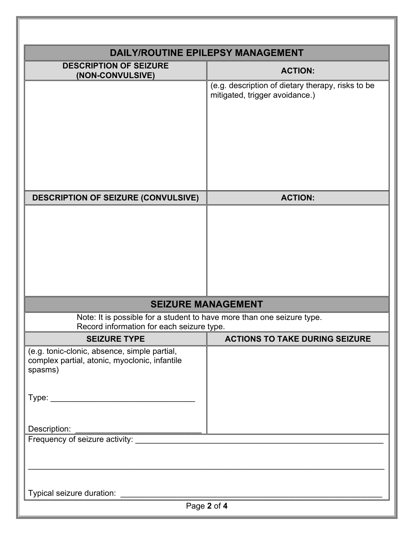|                                                                                                          | <b>DAILY/ROUTINE EPILEPSY MANAGEMENT</b>                                            |
|----------------------------------------------------------------------------------------------------------|-------------------------------------------------------------------------------------|
| <b>DESCRIPTION OF SEIZURE</b><br>(NON-CONVULSIVE)                                                        | <b>ACTION:</b>                                                                      |
|                                                                                                          | (e.g. description of dietary therapy, risks to be<br>mitigated, trigger avoidance.) |
| <b>DESCRIPTION OF SEIZURE (CONVULSIVE)</b>                                                               | <b>ACTION:</b>                                                                      |
|                                                                                                          |                                                                                     |
| Note: It is possible for a student to have more than one seizure type.                                   | <b>SEIZURE MANAGEMENT</b>                                                           |
| Record information for each seizure type.                                                                |                                                                                     |
| <b>SEIZURE TYPE</b>                                                                                      | <b>ACTIONS TO TAKE DURING SEIZURE</b>                                               |
| (e.g. tonic-clonic, absence, simple partial,<br>complex partial, atonic, myoclonic, infantile<br>spasms) |                                                                                     |
| Description:                                                                                             |                                                                                     |
|                                                                                                          |                                                                                     |
|                                                                                                          |                                                                                     |
|                                                                                                          | Page 2 of 4                                                                         |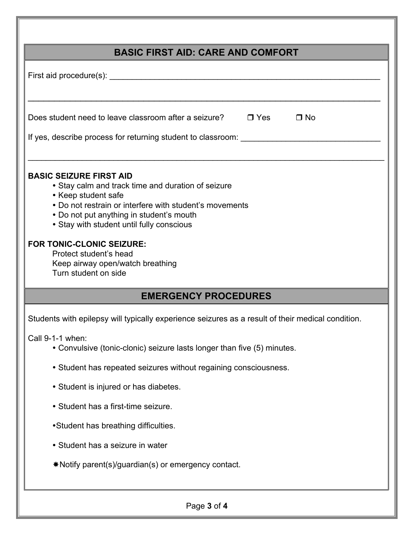| <b>BASIC FIRST AID: CARE AND COMFORT</b>                                                                                                                                                                                                                                                                                                                                                  |
|-------------------------------------------------------------------------------------------------------------------------------------------------------------------------------------------------------------------------------------------------------------------------------------------------------------------------------------------------------------------------------------------|
|                                                                                                                                                                                                                                                                                                                                                                                           |
| Does student need to leave classroom after a seizure?<br>$\square$ Yes<br>$\Box$ No<br>If yes, describe process for returning student to classroom:                                                                                                                                                                                                                                       |
| <b>BASIC SEIZURE FIRST AID</b><br>• Stay calm and track time and duration of seizure<br>• Keep student safe<br>• Do not restrain or interfere with student's movements<br>• Do not put anything in student's mouth<br>• Stay with student until fully conscious<br><b>FOR TONIC-CLONIC SEIZURE:</b><br>Protect student's head<br>Keep airway open/watch breathing<br>Turn student on side |
| <b>EMERGENCY PROCEDURES</b>                                                                                                                                                                                                                                                                                                                                                               |
| Students with epilepsy will typically experience seizures as a result of their medical condition.                                                                                                                                                                                                                                                                                         |
| Call 9-1-1 when:<br>• Convulsive (tonic-clonic) seizure lasts longer than five (5) minutes.                                                                                                                                                                                                                                                                                               |
| • Student has repeated seizures without regaining consciousness.                                                                                                                                                                                                                                                                                                                          |
| • Student is injured or has diabetes.                                                                                                                                                                                                                                                                                                                                                     |
| • Student has a first-time seizure.                                                                                                                                                                                                                                                                                                                                                       |
| •Student has breathing difficulties.                                                                                                                                                                                                                                                                                                                                                      |
| • Student has a seizure in water                                                                                                                                                                                                                                                                                                                                                          |
| *Notify parent(s)/guardian(s) or emergency contact.                                                                                                                                                                                                                                                                                                                                       |